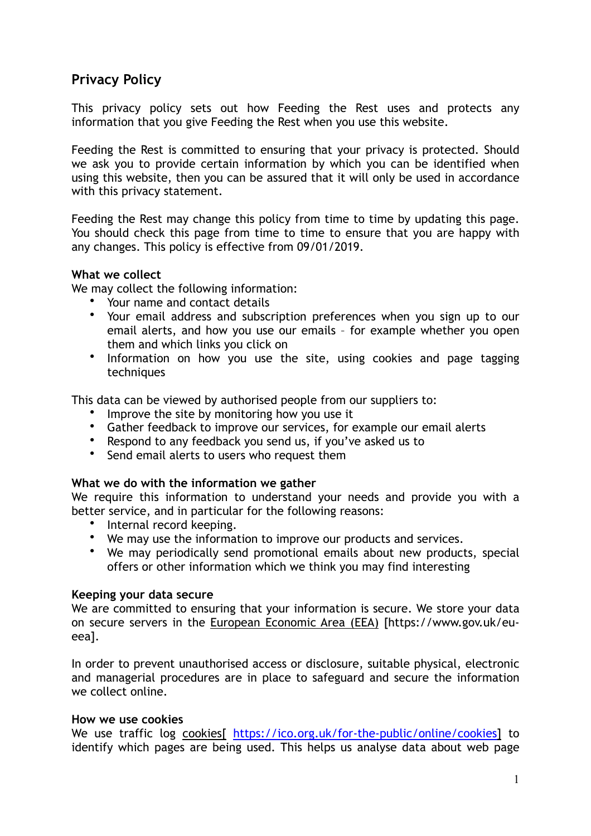# **Privacy Policy**

This privacy policy sets out how Feeding the Rest uses and protects any information that you give Feeding the Rest when you use this website.

Feeding the Rest is committed to ensuring that your privacy is protected. Should we ask you to provide certain information by which you can be identified when using this website, then you can be assured that it will only be used in accordance with this privacy statement.

Feeding the Rest may change this policy from time to time by updating this page. You should check this page from time to time to ensure that you are happy with any changes. This policy is effective from 09/01/2019.

### **What we collect**

We may collect the following information:

- Your name and contact details
- Your email address and subscription preferences when you sign up to our email alerts, and how you use our emails – for example whether you open them and which links you click on
- Information on how you use the site, using [cookies](https://ico.org.uk/for-the-public/online/cookies) and page tagging techniques

This data can be viewed by authorised people from our suppliers to:

- Improve the site by monitoring how you use it
- Gather feedback to improve our services, for example our email alerts<br>• Respond to any feedback you send us, if you've asked us to
- Respond to any feedback you send us, if you've asked us to
- Send email alerts to users who request them

#### **What we do with the information we gather**

We require this information to understand your needs and provide you with a better service, and in particular for the following reasons:

- Internal record keeping.
- We may use the information to improve our products and services.
- We may periodically send promotional emails about new products, special offers or other information which we think you may find interesting

#### **Keeping your data secure**

We are committed to ensuring that your information is secure. We store your data on secure servers in the European Economic Area (EEA) [https://www.gov.uk/eueea].

In order to prevent unauthorised access or disclosure, suitable physical, electronic and managerial procedures are in place to safeguard and secure the information we collect online.

#### **How we use cookies**

We use traffic log cookies[ <https://ico.org.uk/for-the-public/online/cookies>] to identify which pages are being used. This helps us analyse data about web page